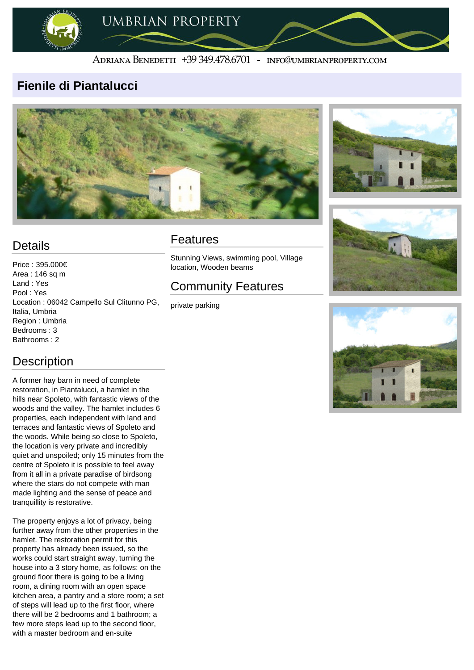

#### ADRIANA BENEDETTI +39 349.478.6701 - INFO@UMBRIANPROPERTY.COM

### **Fienile di Piantalucci**





# **Details**

Price : 395.000€ Area : 146 sq m Land : Yes Pool : Yes Location : 06042 Campello Sul Clitunno PG, Italia, Umbria Region : Umbria Bedrooms : 3 Bathrooms : 2

### **Description**

A former hay barn in need of complete restoration, in Piantalucci, a hamlet in the hills near Spoleto, with fantastic views of the woods and the valley. The hamlet includes 6 properties, each independent with land and terraces and fantastic views of Spoleto and the woods. While being so close to Spoleto, the location is very private and incredibly quiet and unspoiled; only 15 minutes from the centre of Spoleto it is possible to feel away from it all in a private paradise of birdsong where the stars do not compete with man made lighting and the sense of peace and tranquillity is restorative.

The property enjoys a lot of privacy, being further away from the other properties in the hamlet. The restoration permit for this property has already been issued, so the works could start straight away, turning the house into a 3 story home, as follows: on the ground floor there is going to be a living room, a dining room with an open space kitchen area, a pantry and a store room; a set of steps will lead up to the first floor, where there will be 2 bedrooms and 1 bathroom; a few more steps lead up to the second floor, with a master bedroom and en-suite

#### Features

Stunning Views, swimming pool, Village location, Wooden beams

## Community Features

private parking